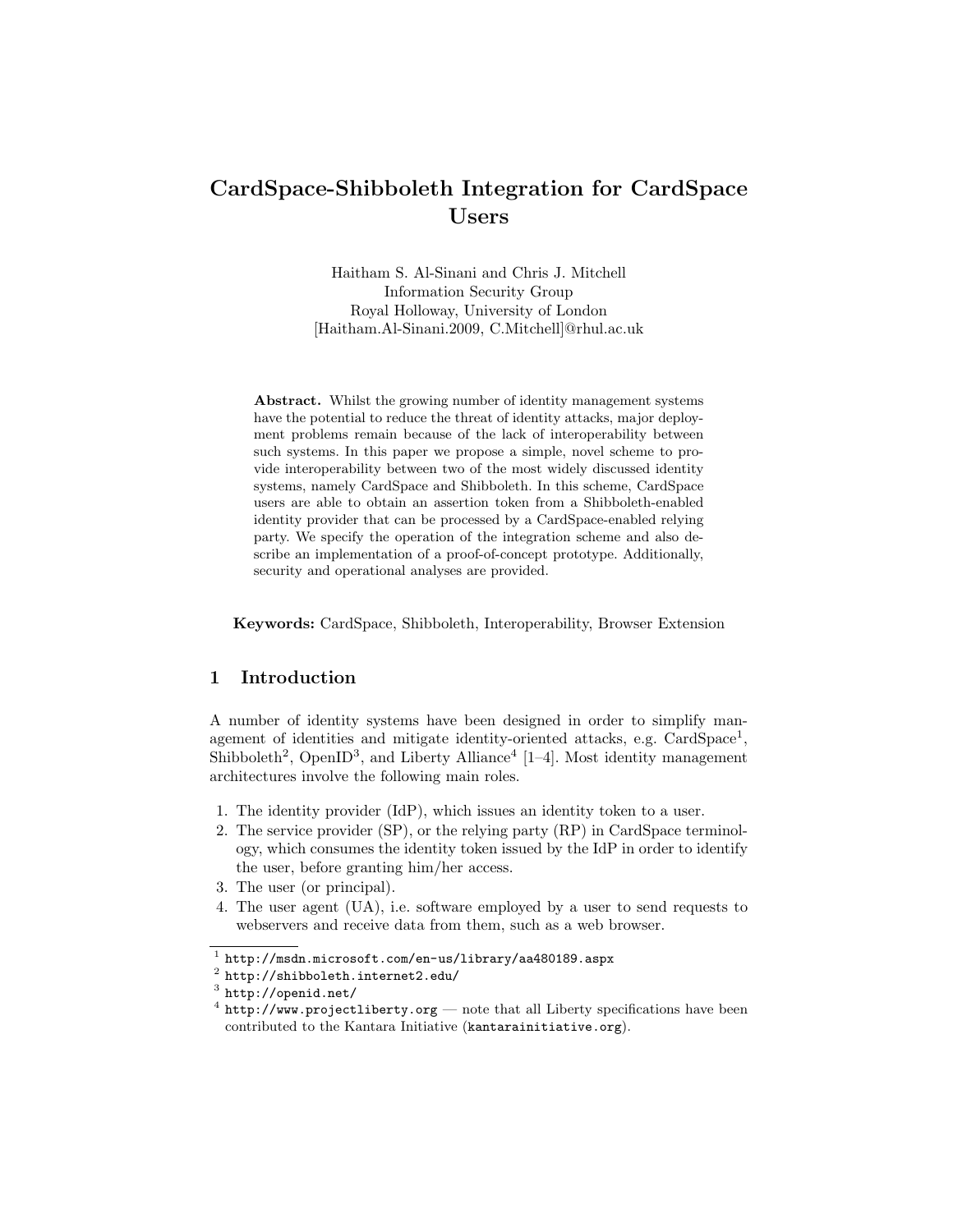# CardSpace-Shibboleth Integration for CardSpace Users

Haitham S. Al-Sinani and Chris J. Mitchell Information Security Group Royal Holloway, University of London [Haitham.Al-Sinani.2009, C.Mitchell]@rhul.ac.uk

Abstract. Whilst the growing number of identity management systems have the potential to reduce the threat of identity attacks, major deployment problems remain because of the lack of interoperability between such systems. In this paper we propose a simple, novel scheme to provide interoperability between two of the most widely discussed identity systems, namely CardSpace and Shibboleth. In this scheme, CardSpace users are able to obtain an assertion token from a Shibboleth-enabled identity provider that can be processed by a CardSpace-enabled relying party. We specify the operation of the integration scheme and also describe an implementation of a proof-of-concept prototype. Additionally, security and operational analyses are provided.

Keywords: CardSpace, Shibboleth, Interoperability, Browser Extension

# 1 Introduction

A number of identity systems have been designed in order to simplify management of identities and mitigate identity-oriented attacks, e.g. CardSpace<sup>1</sup>, Shibboleth<sup>2</sup>, OpenID<sup>3</sup>, and Liberty Alliance<sup>4</sup> [1–4]. Most identity management architectures involve the following main roles.

- 1. The identity provider (IdP), which issues an identity token to a user.
- 2. The service provider (SP), or the relying party (RP) in CardSpace terminology, which consumes the identity token issued by the IdP in order to identify the user, before granting him/her access.
- 3. The user (or principal).
- 4. The user agent (UA), i.e. software employed by a user to send requests to webservers and receive data from them, such as a web browser.

<sup>1</sup> http://msdn.microsoft.com/en-us/library/aa480189.aspx

 $^2$  http://shibboleth.internet2.edu/

 $^3$  http://openid.net/

 $^{4}$  http://www.projectliberty.org — note that all Liberty specifications have been contributed to the Kantara Initiative (kantarainitiative.org).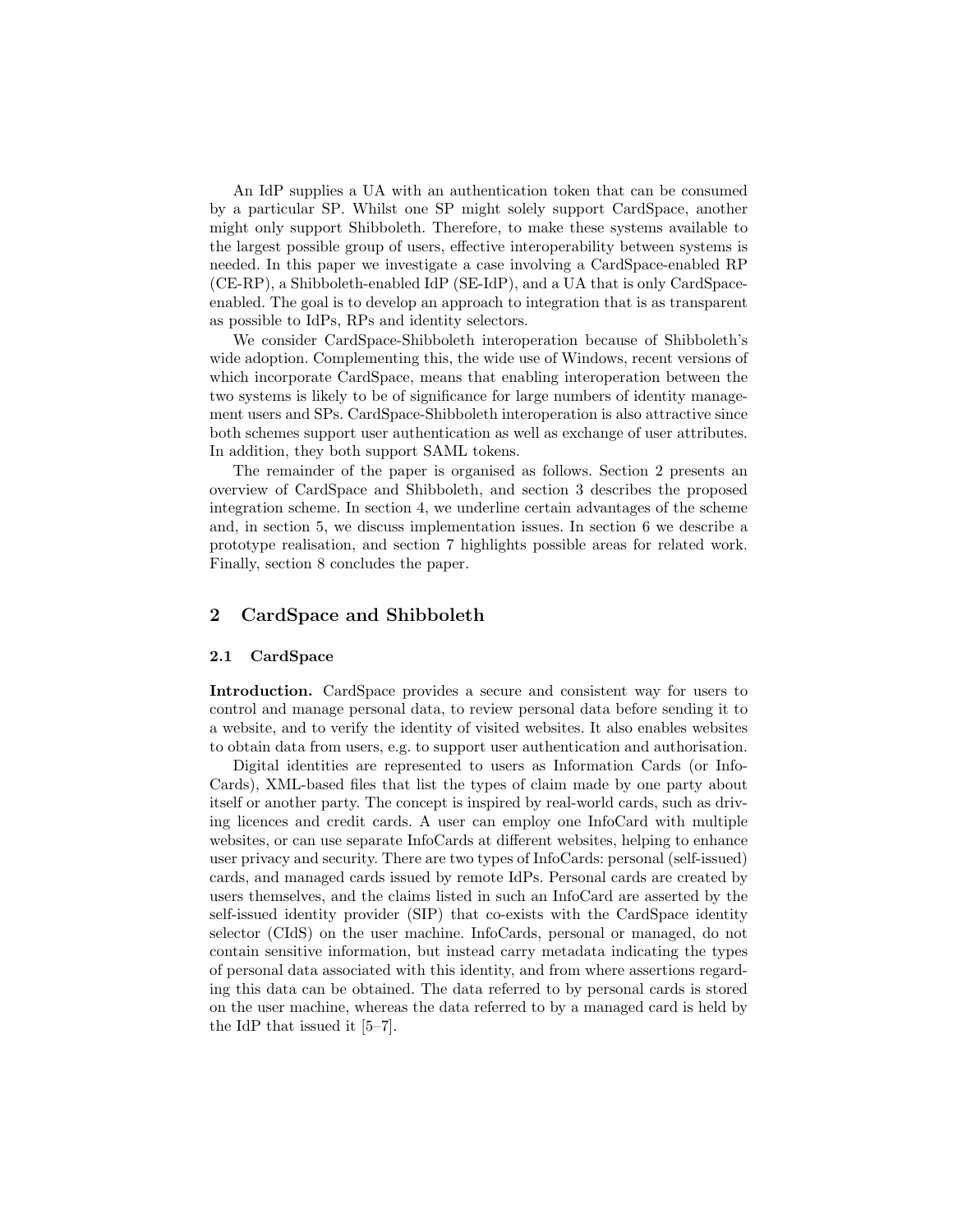An IdP supplies a UA with an authentication token that can be consumed by a particular SP. Whilst one SP might solely support CardSpace, another might only support Shibboleth. Therefore, to make these systems available to the largest possible group of users, effective interoperability between systems is needed. In this paper we investigate a case involving a CardSpace-enabled RP (CE-RP), a Shibboleth-enabled IdP (SE-IdP), and a UA that is only CardSpaceenabled. The goal is to develop an approach to integration that is as transparent as possible to IdPs, RPs and identity selectors.

We consider CardSpace-Shibboleth interoperation because of Shibboleth's wide adoption. Complementing this, the wide use of Windows, recent versions of which incorporate CardSpace, means that enabling interoperation between the two systems is likely to be of significance for large numbers of identity management users and SPs. CardSpace-Shibboleth interoperation is also attractive since both schemes support user authentication as well as exchange of user attributes. In addition, they both support SAML tokens.

The remainder of the paper is organised as follows. Section 2 presents an overview of CardSpace and Shibboleth, and section 3 describes the proposed integration scheme. In section 4, we underline certain advantages of the scheme and, in section 5, we discuss implementation issues. In section 6 we describe a prototype realisation, and section 7 highlights possible areas for related work. Finally, section 8 concludes the paper.

# 2 CardSpace and Shibboleth

#### 2.1 CardSpace

Introduction. CardSpace provides a secure and consistent way for users to control and manage personal data, to review personal data before sending it to a website, and to verify the identity of visited websites. It also enables websites to obtain data from users, e.g. to support user authentication and authorisation.

Digital identities are represented to users as Information Cards (or Info-Cards), XML-based files that list the types of claim made by one party about itself or another party. The concept is inspired by real-world cards, such as driving licences and credit cards. A user can employ one InfoCard with multiple websites, or can use separate InfoCards at different websites, helping to enhance user privacy and security. There are two types of InfoCards: personal (self-issued) cards, and managed cards issued by remote IdPs. Personal cards are created by users themselves, and the claims listed in such an InfoCard are asserted by the self-issued identity provider (SIP) that co-exists with the CardSpace identity selector (CIdS) on the user machine. InfoCards, personal or managed, do not contain sensitive information, but instead carry metadata indicating the types of personal data associated with this identity, and from where assertions regarding this data can be obtained. The data referred to by personal cards is stored on the user machine, whereas the data referred to by a managed card is held by the IdP that issued it [5–7].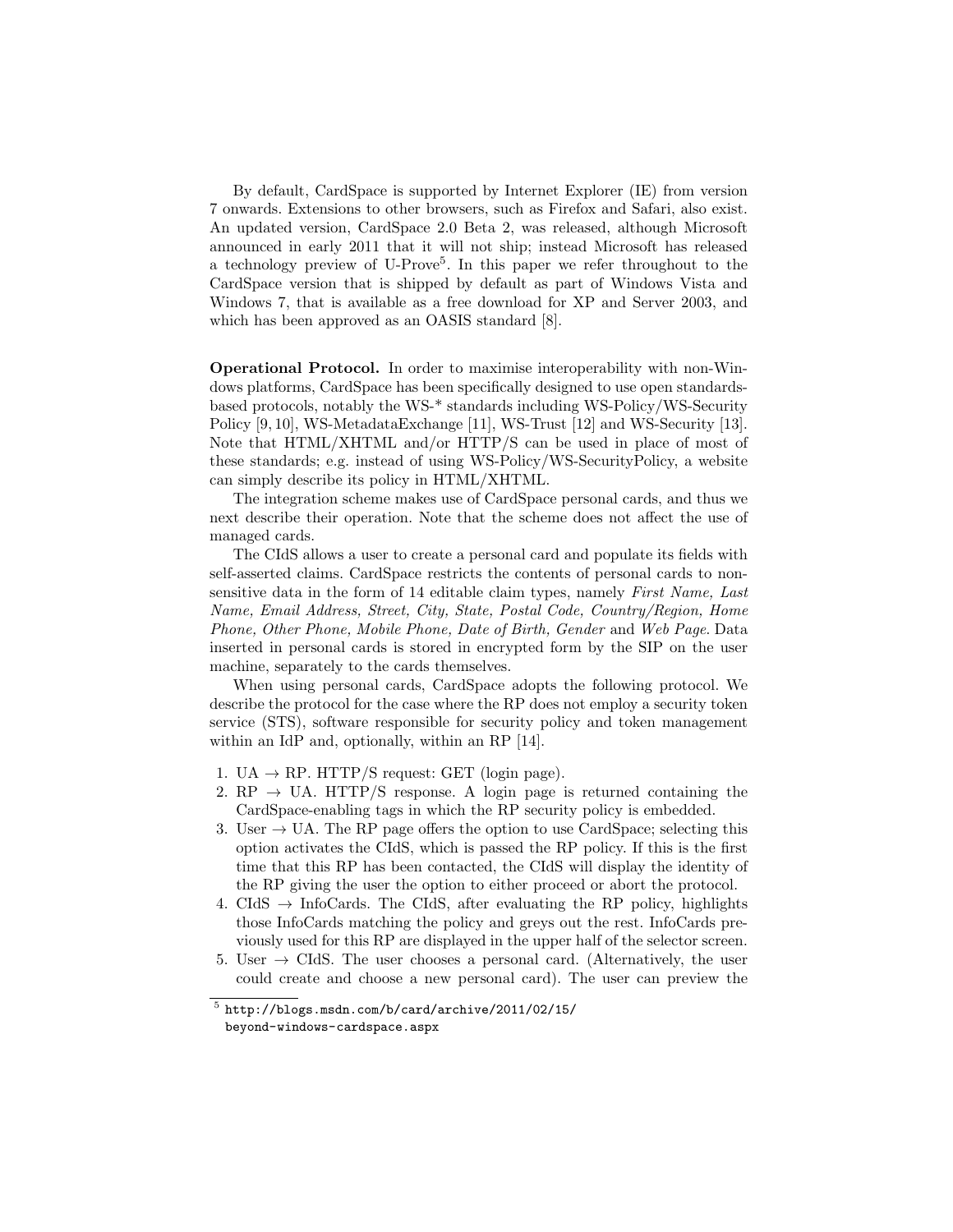By default, CardSpace is supported by Internet Explorer (IE) from version 7 onwards. Extensions to other browsers, such as Firefox and Safari, also exist. An updated version, CardSpace 2.0 Beta 2, was released, although Microsoft announced in early 2011 that it will not ship; instead Microsoft has released a technology preview of U-Prove<sup>5</sup>. In this paper we refer throughout to the CardSpace version that is shipped by default as part of Windows Vista and Windows 7, that is available as a free download for XP and Server 2003, and which has been approved as an OASIS standard [8].

Operational Protocol. In order to maximise interoperability with non-Windows platforms, CardSpace has been specifically designed to use open standardsbased protocols, notably the WS-\* standards including WS-Policy/WS-Security Policy [9, 10], WS-MetadataExchange [11], WS-Trust [12] and WS-Security [13]. Note that HTML/XHTML and/or HTTP/S can be used in place of most of these standards; e.g. instead of using WS-Policy/WS-SecurityPolicy, a website can simply describe its policy in HTML/XHTML.

The integration scheme makes use of CardSpace personal cards, and thus we next describe their operation. Note that the scheme does not affect the use of managed cards.

The CIdS allows a user to create a personal card and populate its fields with self-asserted claims. CardSpace restricts the contents of personal cards to nonsensitive data in the form of 14 editable claim types, namely First Name, Last Name, Email Address, Street, City, State, Postal Code, Country/Region, Home Phone, Other Phone, Mobile Phone, Date of Birth, Gender and Web Page. Data inserted in personal cards is stored in encrypted form by the SIP on the user machine, separately to the cards themselves.

When using personal cards, CardSpace adopts the following protocol. We describe the protocol for the case where the RP does not employ a security token service (STS), software responsible for security policy and token management within an IdP and, optionally, within an RP [14].

- 1. UA  $\rightarrow$  RP. HTTP/S request: GET (login page).
- 2. RP  $\rightarrow$  UA. HTTP/S response. A login page is returned containing the CardSpace-enabling tags in which the RP security policy is embedded.
- 3. User  $\rightarrow$  UA. The RP page offers the option to use CardSpace; selecting this option activates the CIdS, which is passed the RP policy. If this is the first time that this RP has been contacted, the CIdS will display the identity of the RP giving the user the option to either proceed or abort the protocol.
- 4. CIdS  $\rightarrow$  InfoCards. The CIdS, after evaluating the RP policy, highlights those InfoCards matching the policy and greys out the rest. InfoCards previously used for this RP are displayed in the upper half of the selector screen.
- 5. User  $\rightarrow$  CIdS. The user chooses a personal card. (Alternatively, the user could create and choose a new personal card). The user can preview the

 $^5$  http://blogs.msdn.com/b/card/archive/2011/02/15/ beyond-windows-cardspace.aspx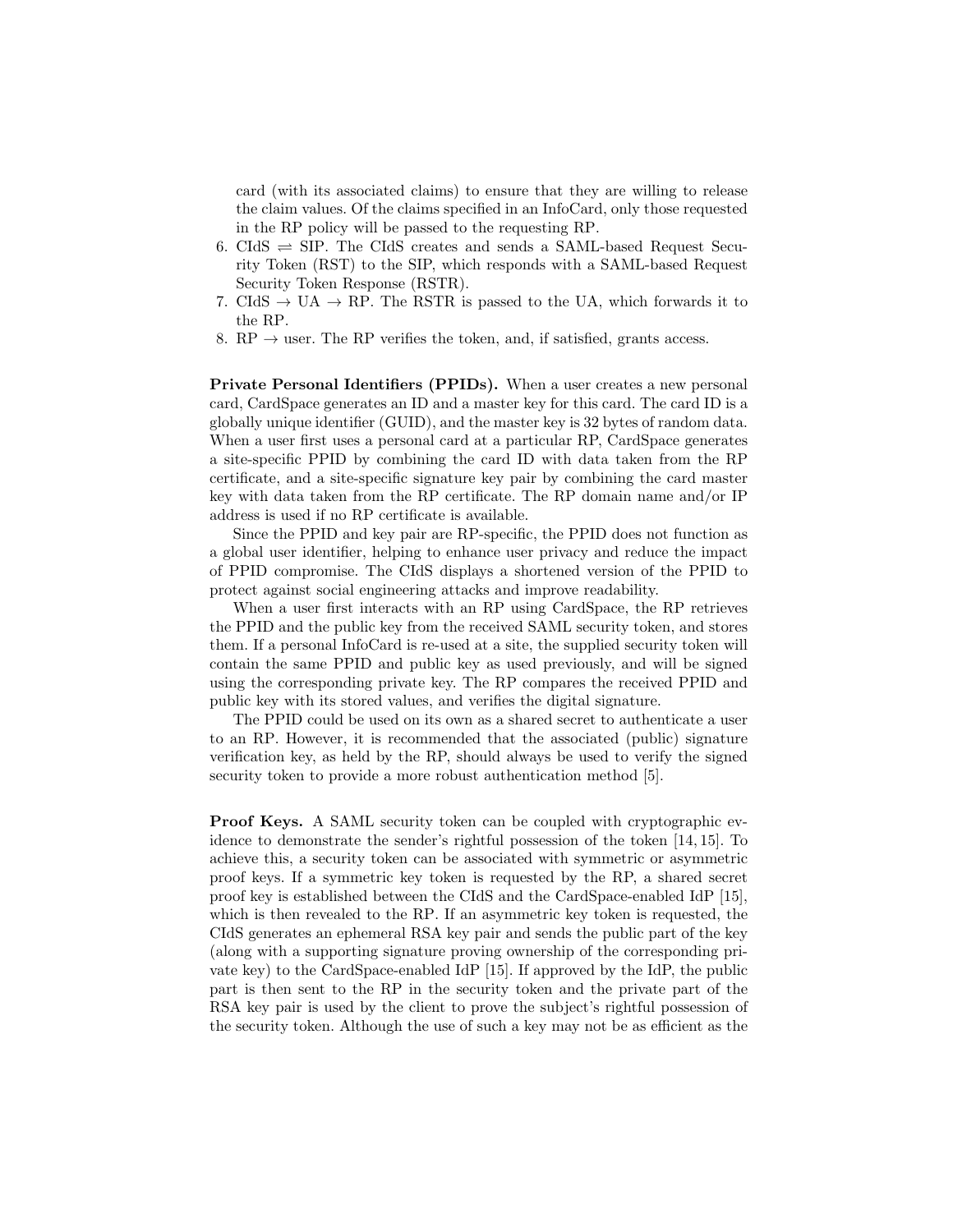card (with its associated claims) to ensure that they are willing to release the claim values. Of the claims specified in an InfoCard, only those requested in the RP policy will be passed to the requesting RP.

- $6. \text{ CIdS} \rightleftharpoons \text{SIP}.$  The CIdS creates and sends a SAML-based Request Security Token (RST) to the SIP, which responds with a SAML-based Request Security Token Response (RSTR).
- 7. CIdS  $\rightarrow$  UA  $\rightarrow$  RP. The RSTR is passed to the UA, which forwards it to the RP.
- 8. RP  $\rightarrow$  user. The RP verifies the token, and, if satisfied, grants access.

Private Personal Identifiers (PPIDs). When a user creates a new personal card, CardSpace generates an ID and a master key for this card. The card ID is a globally unique identifier (GUID), and the master key is 32 bytes of random data. When a user first uses a personal card at a particular RP, CardSpace generates a site-specific PPID by combining the card ID with data taken from the RP certificate, and a site-specific signature key pair by combining the card master key with data taken from the RP certificate. The RP domain name and/or IP address is used if no RP certificate is available.

Since the PPID and key pair are RP-specific, the PPID does not function as a global user identifier, helping to enhance user privacy and reduce the impact of PPID compromise. The CIdS displays a shortened version of the PPID to protect against social engineering attacks and improve readability.

When a user first interacts with an RP using CardSpace, the RP retrieves the PPID and the public key from the received SAML security token, and stores them. If a personal InfoCard is re-used at a site, the supplied security token will contain the same PPID and public key as used previously, and will be signed using the corresponding private key. The RP compares the received PPID and public key with its stored values, and verifies the digital signature.

The PPID could be used on its own as a shared secret to authenticate a user to an RP. However, it is recommended that the associated (public) signature verification key, as held by the RP, should always be used to verify the signed security token to provide a more robust authentication method [5].

Proof Keys. A SAML security token can be coupled with cryptographic evidence to demonstrate the sender's rightful possession of the token [14, 15]. To achieve this, a security token can be associated with symmetric or asymmetric proof keys. If a symmetric key token is requested by the RP, a shared secret proof key is established between the CIdS and the CardSpace-enabled IdP [15], which is then revealed to the RP. If an asymmetric key token is requested, the CIdS generates an ephemeral RSA key pair and sends the public part of the key (along with a supporting signature proving ownership of the corresponding private key) to the CardSpace-enabled IdP [15]. If approved by the IdP, the public part is then sent to the RP in the security token and the private part of the RSA key pair is used by the client to prove the subject's rightful possession of the security token. Although the use of such a key may not be as efficient as the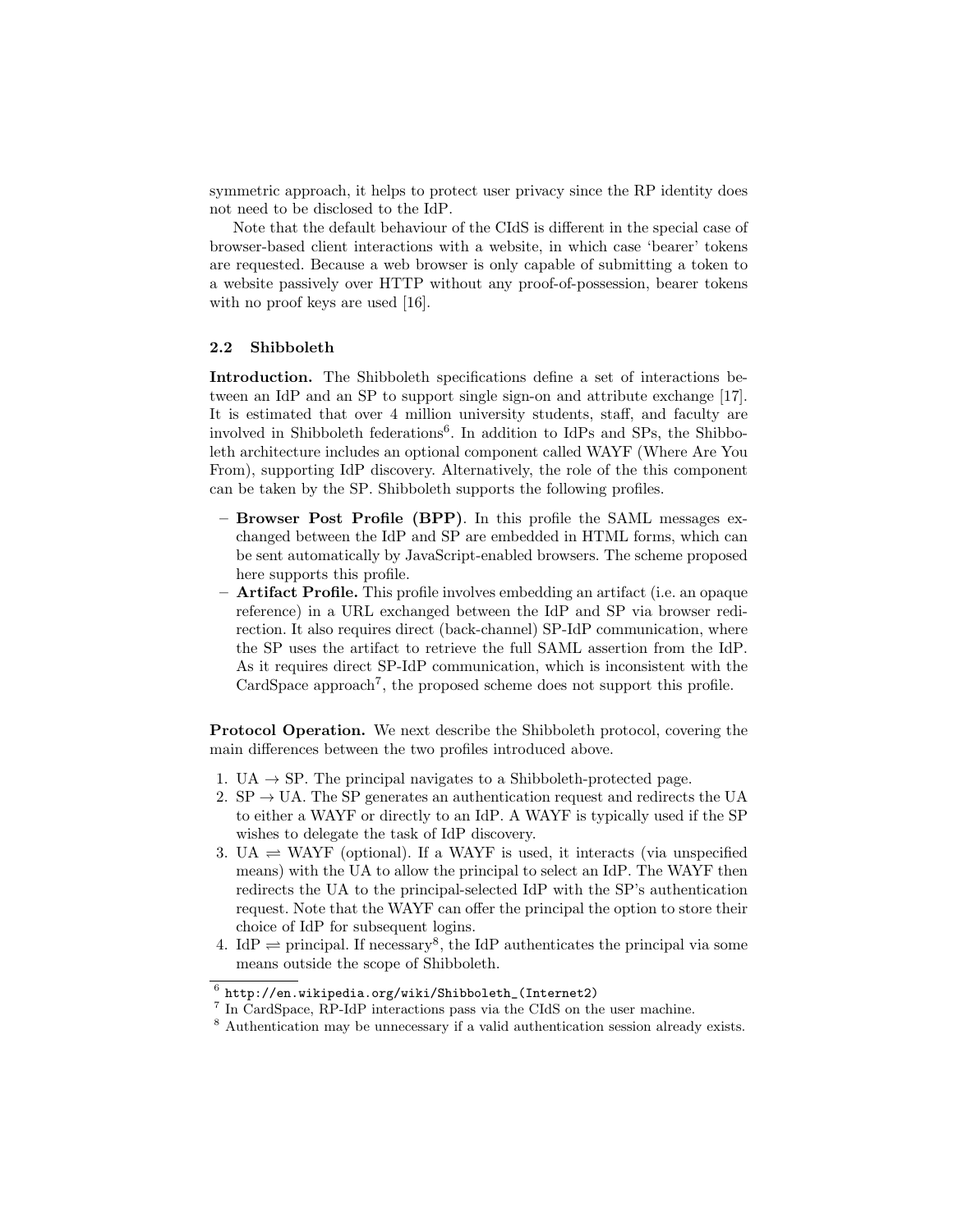symmetric approach, it helps to protect user privacy since the RP identity does not need to be disclosed to the IdP.

Note that the default behaviour of the CIdS is different in the special case of browser-based client interactions with a website, in which case 'bearer' tokens are requested. Because a web browser is only capable of submitting a token to a website passively over HTTP without any proof-of-possession, bearer tokens with no proof keys are used [16].

## 2.2 Shibboleth

Introduction. The Shibboleth specifications define a set of interactions between an IdP and an SP to support single sign-on and attribute exchange [17]. It is estimated that over 4 million university students, staff, and faculty are involved in Shibboleth federations<sup>6</sup>. In addition to IdPs and SPs, the Shibboleth architecture includes an optional component called WAYF (Where Are You From), supporting IdP discovery. Alternatively, the role of the this component can be taken by the SP. Shibboleth supports the following profiles.

- Browser Post Profile (BPP). In this profile the SAML messages exchanged between the IdP and SP are embedded in HTML forms, which can be sent automatically by JavaScript-enabled browsers. The scheme proposed here supports this profile.
- Artifact Profile. This profile involves embedding an artifact (i.e. an opaque reference) in a URL exchanged between the IdP and SP via browser redirection. It also requires direct (back-channel) SP-IdP communication, where the SP uses the artifact to retrieve the full SAML assertion from the IdP. As it requires direct SP-IdP communication, which is inconsistent with the CardSpace approach<sup>7</sup>, the proposed scheme does not support this profile.

Protocol Operation. We next describe the Shibboleth protocol, covering the main differences between the two profiles introduced above.

- 1. UA  $\rightarrow$  SP. The principal navigates to a Shibboleth-protected page.
- 2.  $SP \rightarrow UA$ . The SP generates an authentication request and redirects the UA to either a WAYF or directly to an IdP. A WAYF is typically used if the SP wishes to delegate the task of IdP discovery.
- 3. UA  $\rightleftharpoons$  WAYF (optional). If a WAYF is used, it interacts (via unspecified means) with the UA to allow the principal to select an IdP. The WAYF then redirects the UA to the principal-selected IdP with the SP's authentication request. Note that the WAYF can offer the principal the option to store their choice of IdP for subsequent logins.
- 4. IdP  $\rightleftharpoons$  principal. If necessary<sup>8</sup>, the IdP authenticates the principal via some means outside the scope of Shibboleth.

 $^6$  http://en.wikipedia.org/wiki/Shibboleth\_(Internet2)

<sup>&</sup>lt;sup>7</sup> In CardSpace, RP-IdP interactions pass via the CIdS on the user machine.

<sup>8</sup> Authentication may be unnecessary if a valid authentication session already exists.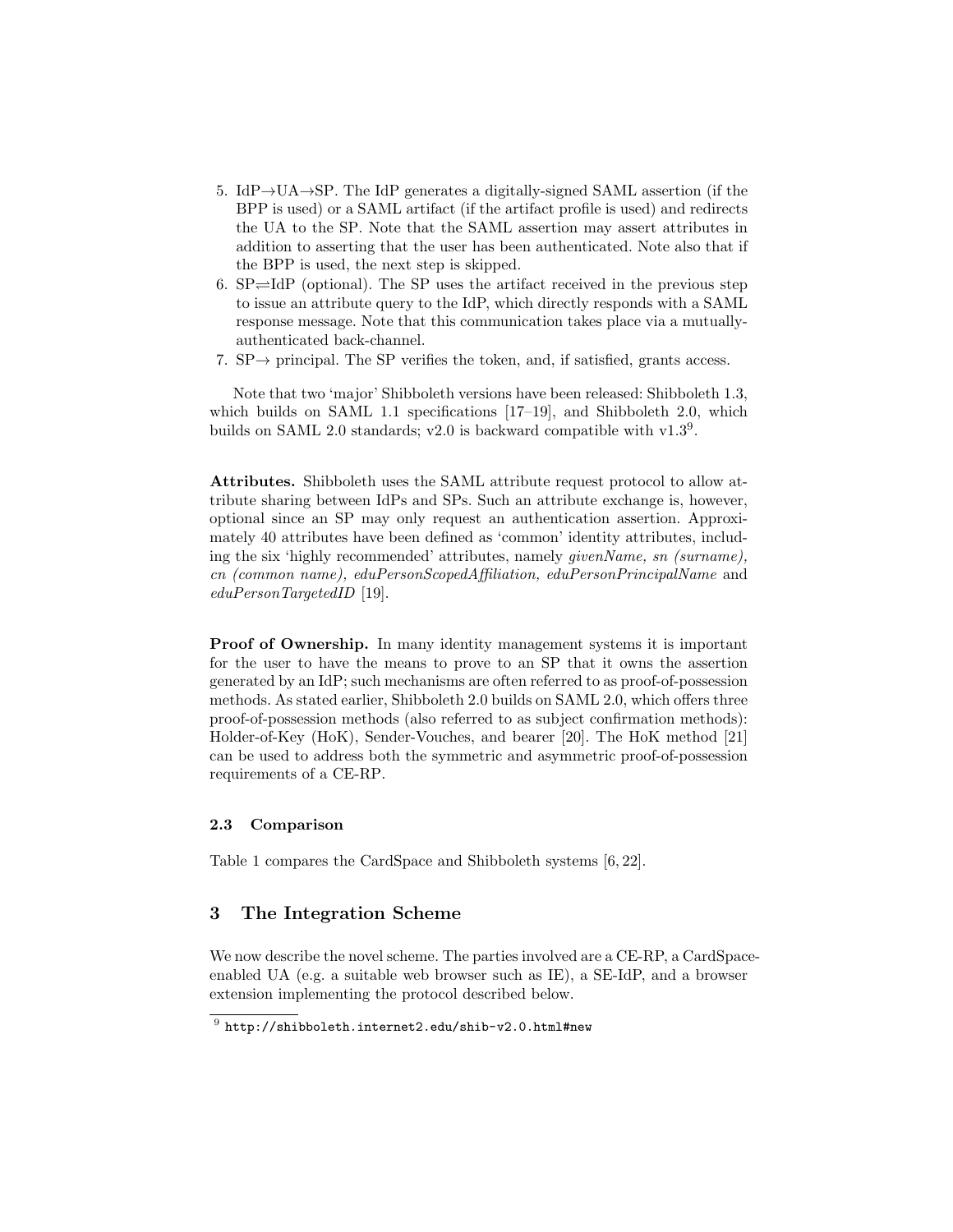- 5. IdP $\rightarrow$ UA $\rightarrow$ SP. The IdP generates a digitally-signed SAML assertion (if the BPP is used) or a SAML artifact (if the artifact profile is used) and redirects the UA to the SP. Note that the SAML assertion may assert attributes in addition to asserting that the user has been authenticated. Note also that if the BPP is used, the next step is skipped.
- 6. SP IdP (optional). The SP uses the artifact received in the previous step to issue an attribute query to the IdP, which directly responds with a SAML response message. Note that this communication takes place via a mutuallyauthenticated back-channel.
- 7.  $SP \rightarrow$  principal. The SP verifies the token, and, if satisfied, grants access.

Note that two 'major' Shibboleth versions have been released: Shibboleth 1.3, which builds on SAML 1.1 specifications [17–19], and Shibboleth 2.0, which builds on SAML 2.0 standards; v2.0 is backward compatible with v1.3<sup>9</sup>.

Attributes. Shibboleth uses the SAML attribute request protocol to allow attribute sharing between IdPs and SPs. Such an attribute exchange is, however, optional since an SP may only request an authentication assertion. Approximately 40 attributes have been defined as 'common' identity attributes, including the six 'highly recommended' attributes, namely givenName, sn (surname), cn (common name), eduPersonScopedAffiliation, eduPersonPrincipalName and eduPersonTargetedID [19].

Proof of Ownership. In many identity management systems it is important for the user to have the means to prove to an SP that it owns the assertion generated by an IdP; such mechanisms are often referred to as proof-of-possession methods. As stated earlier, Shibboleth 2.0 builds on SAML 2.0, which offers three proof-of-possession methods (also referred to as subject confirmation methods): Holder-of-Key (HoK), Sender-Vouches, and bearer [20]. The HoK method [21] can be used to address both the symmetric and asymmetric proof-of-possession requirements of a CE-RP.

## 2.3 Comparison

Table 1 compares the CardSpace and Shibboleth systems [6, 22].

# 3 The Integration Scheme

We now describe the novel scheme. The parties involved are a CE-RP, a CardSpaceenabled UA (e.g. a suitable web browser such as IE), a SE-IdP, and a browser extension implementing the protocol described below.

 $^9$  http://shibboleth.internet2.edu/shib-v2.0.html#new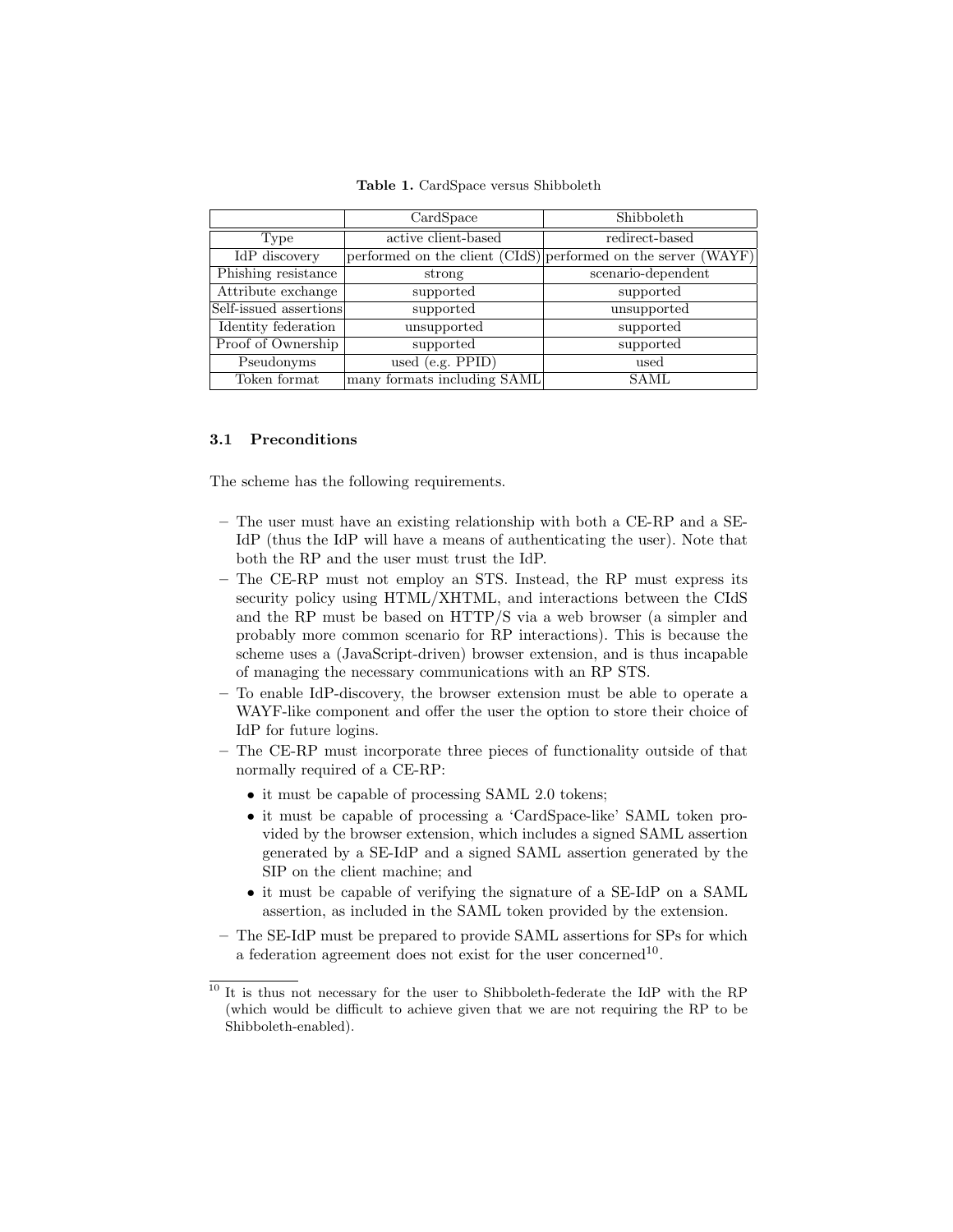Table 1. CardSpace versus Shibboleth

|                        | CardSpace                      | Shibboleth                                                    |
|------------------------|--------------------------------|---------------------------------------------------------------|
| Type                   | active client-based            | redirect-based                                                |
| IdP discovery          |                                | performed on the client (CIdS) performed on the server (WAYF) |
| Phishing resistance    | strong                         | scenario-dependent                                            |
| Attribute exchange     | supported                      | supported                                                     |
| Self-issued assertions | supported                      | unsupported                                                   |
| Identity federation    | unsupported                    | supported                                                     |
| Proof of Ownership     | supported                      | supported                                                     |
| Pseudonyms             | used (e.g. $\overline{PPID}$ ) | used                                                          |
| Token format           | many formats including SAML    | <b>SAML</b>                                                   |

## 3.1 Preconditions

The scheme has the following requirements.

- The user must have an existing relationship with both a CE-RP and a SE-IdP (thus the IdP will have a means of authenticating the user). Note that both the RP and the user must trust the IdP.
- The CE-RP must not employ an STS. Instead, the RP must express its security policy using HTML/XHTML, and interactions between the CIdS and the RP must be based on HTTP/S via a web browser (a simpler and probably more common scenario for RP interactions). This is because the scheme uses a (JavaScript-driven) browser extension, and is thus incapable of managing the necessary communications with an RP STS.
- To enable IdP-discovery, the browser extension must be able to operate a WAYF-like component and offer the user the option to store their choice of IdP for future logins.
- The CE-RP must incorporate three pieces of functionality outside of that normally required of a CE-RP:
	- it must be capable of processing SAML 2.0 tokens;
	- it must be capable of processing a 'CardSpace-like' SAML token provided by the browser extension, which includes a signed SAML assertion generated by a SE-IdP and a signed SAML assertion generated by the SIP on the client machine; and
	- it must be capable of verifying the signature of a SE-IdP on a SAML assertion, as included in the SAML token provided by the extension.
- The SE-IdP must be prepared to provide SAML assertions for SPs for which a federation agreement does not exist for the user concerned<sup>10</sup>.

<sup>&</sup>lt;sup>10</sup> It is thus not necessary for the user to Shibboleth-federate the IdP with the RP (which would be difficult to achieve given that we are not requiring the RP to be Shibboleth-enabled).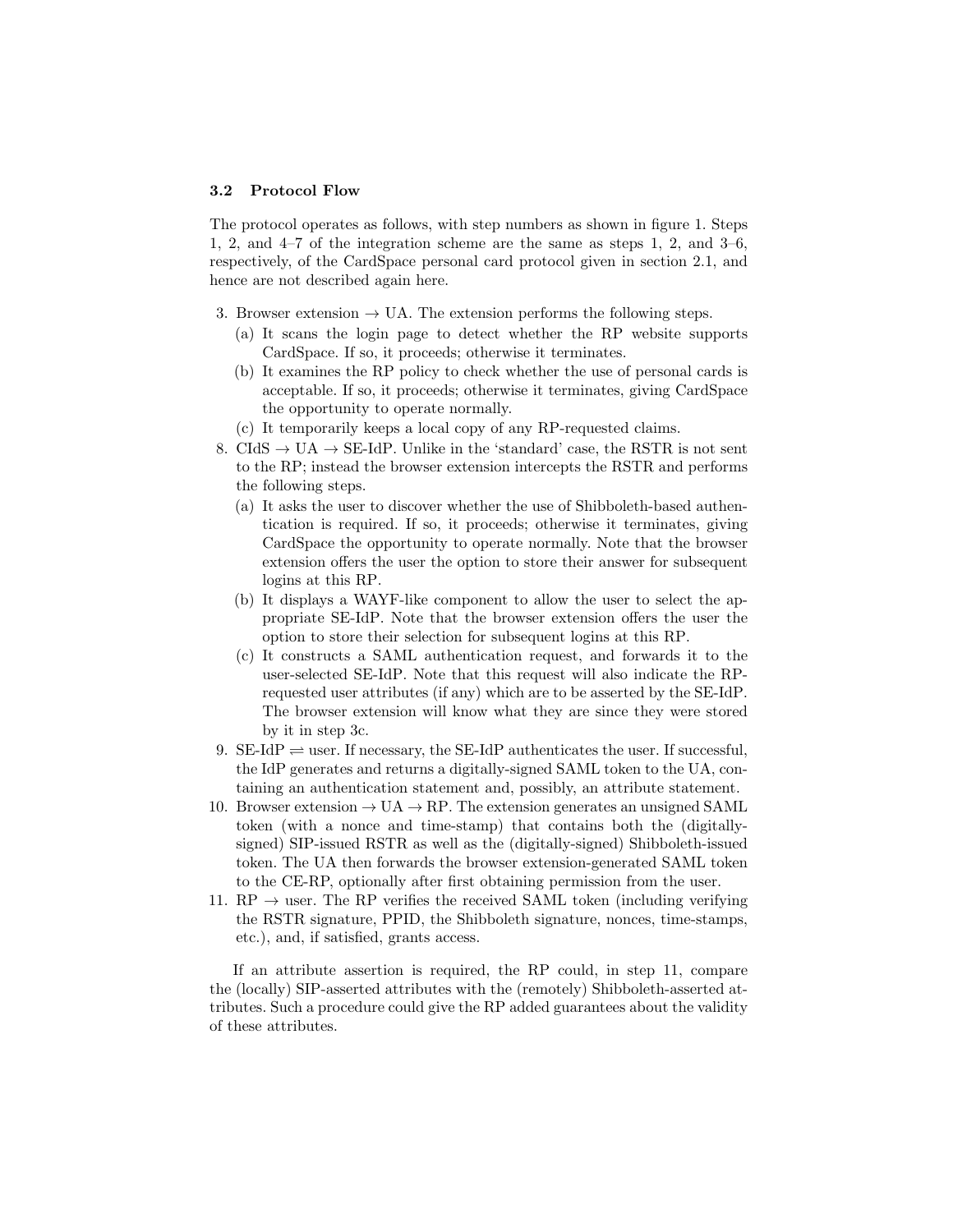#### 3.2 Protocol Flow

The protocol operates as follows, with step numbers as shown in figure 1. Steps 1, 2, and 4–7 of the integration scheme are the same as steps 1, 2, and 3–6, respectively, of the CardSpace personal card protocol given in section 2.1, and hence are not described again here.

- 3. Browser extension  $\rightarrow$  UA. The extension performs the following steps.
	- (a) It scans the login page to detect whether the RP website supports CardSpace. If so, it proceeds; otherwise it terminates.
	- (b) It examines the RP policy to check whether the use of personal cards is acceptable. If so, it proceeds; otherwise it terminates, giving CardSpace the opportunity to operate normally.
	- (c) It temporarily keeps a local copy of any RP-requested claims.
- 8. CIdS  $\rightarrow$  UA  $\rightarrow$  SE-IdP. Unlike in the 'standard' case, the RSTR is not sent to the RP; instead the browser extension intercepts the RSTR and performs the following steps.
	- (a) It asks the user to discover whether the use of Shibboleth-based authentication is required. If so, it proceeds; otherwise it terminates, giving CardSpace the opportunity to operate normally. Note that the browser extension offers the user the option to store their answer for subsequent logins at this RP.
	- (b) It displays a WAYF-like component to allow the user to select the appropriate SE-IdP. Note that the browser extension offers the user the option to store their selection for subsequent logins at this RP.
	- (c) It constructs a SAML authentication request, and forwards it to the user-selected SE-IdP. Note that this request will also indicate the RPrequested user attributes (if any) which are to be asserted by the SE-IdP. The browser extension will know what they are since they were stored by it in step 3c.
- 9. SE-IdP  $\rightleftharpoons$  user. If necessary, the SE-IdP authenticates the user. If successful, the IdP generates and returns a digitally-signed SAML token to the UA, containing an authentication statement and, possibly, an attribute statement.
- 10. Browser extension  $\rightarrow$  UA  $\rightarrow$  RP. The extension generates an unsigned SAML token (with a nonce and time-stamp) that contains both the (digitallysigned) SIP-issued RSTR as well as the (digitally-signed) Shibboleth-issued token. The UA then forwards the browser extension-generated SAML token to the CE-RP, optionally after first obtaining permission from the user.
- 11. RP  $\rightarrow$  user. The RP verifies the received SAML token (including verifying the RSTR signature, PPID, the Shibboleth signature, nonces, time-stamps, etc.), and, if satisfied, grants access.

If an attribute assertion is required, the RP could, in step 11, compare the (locally) SIP-asserted attributes with the (remotely) Shibboleth-asserted attributes. Such a procedure could give the RP added guarantees about the validity of these attributes.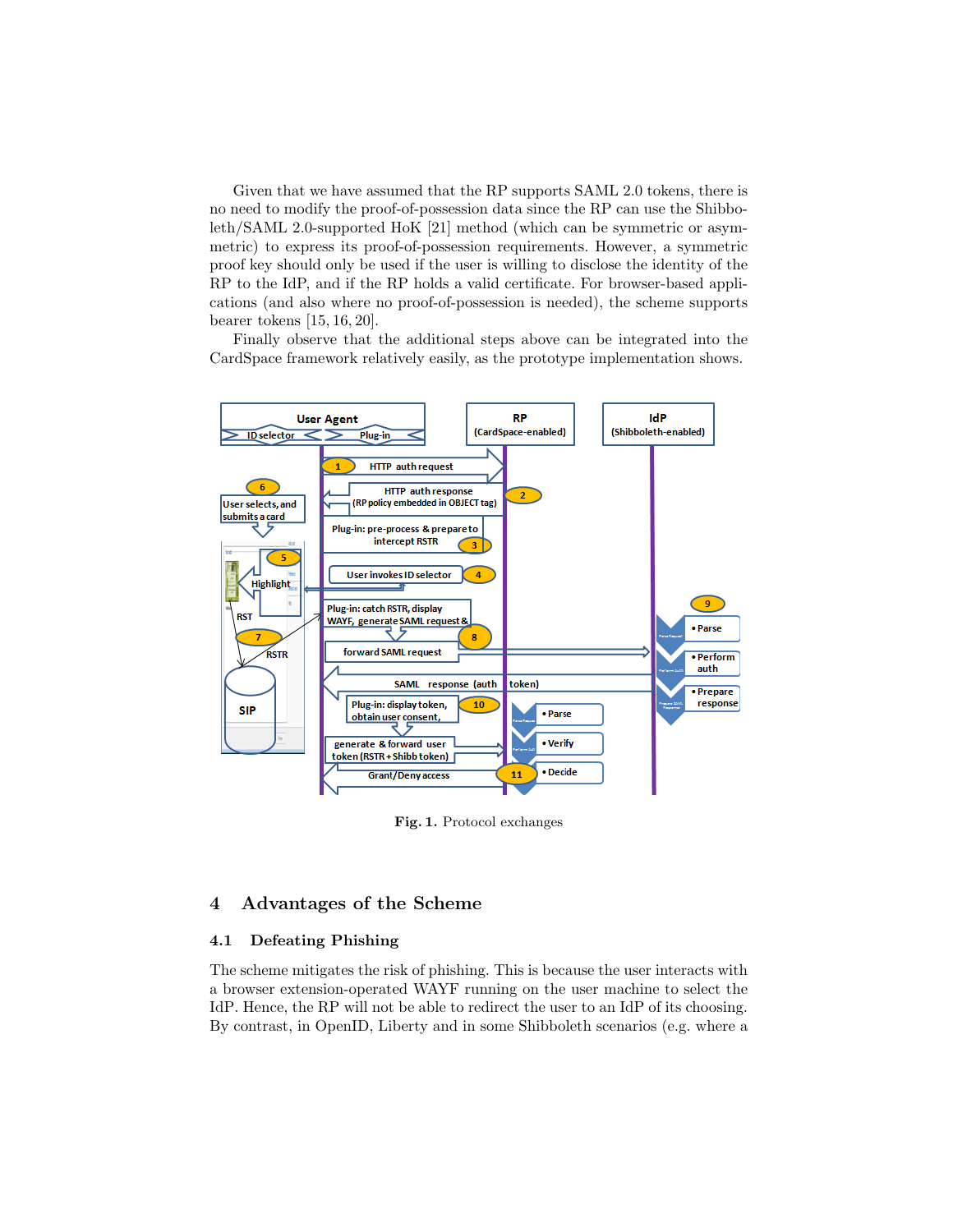Given that we have assumed that the RP supports SAML 2.0 tokens, there is no need to modify the proof-of-possession data since the RP can use the Shibboleth/SAML 2.0-supported HoK [21] method (which can be symmetric or asymmetric) to express its proof-of-possession requirements. However, a symmetric proof key should only be used if the user is willing to disclose the identity of the RP to the IdP, and if the RP holds a valid certificate. For browser-based applications (and also where no proof-of-possession is needed), the scheme supports bearer tokens [15, 16, 20].

Finally observe that the additional steps above can be integrated into the CardSpace framework relatively easily, as the prototype implementation shows.



Fig. 1. Protocol exchanges

# 4 Advantages of the Scheme

# 4.1 Defeating Phishing

The scheme mitigates the risk of phishing. This is because the user interacts with a browser extension-operated WAYF running on the user machine to select the IdP. Hence, the RP will not be able to redirect the user to an IdP of its choosing. By contrast, in OpenID, Liberty and in some Shibboleth scenarios (e.g. where a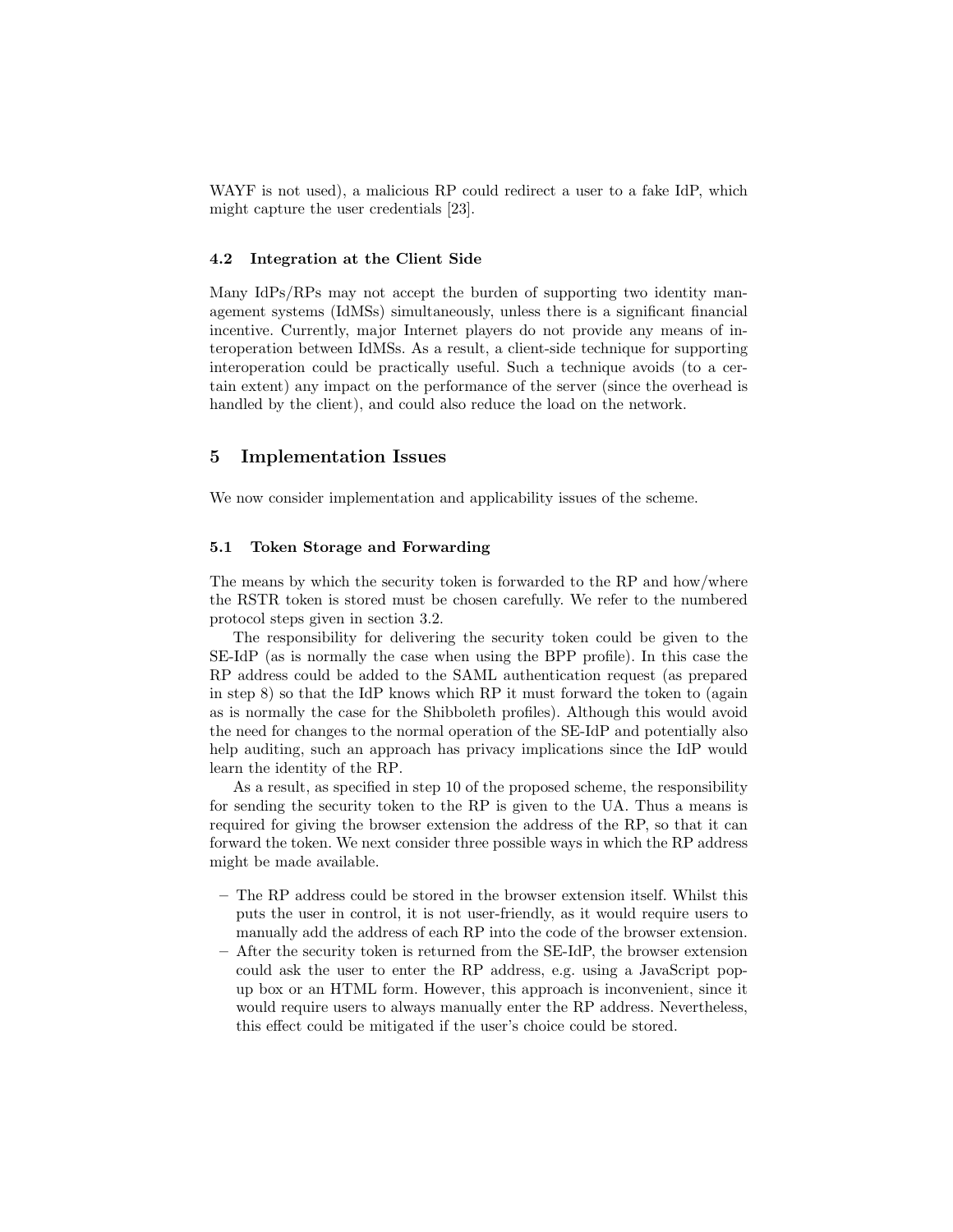WAYF is not used), a malicious RP could redirect a user to a fake IdP, which might capture the user credentials [23].

## 4.2 Integration at the Client Side

Many IdPs/RPs may not accept the burden of supporting two identity management systems (IdMSs) simultaneously, unless there is a significant financial incentive. Currently, major Internet players do not provide any means of interoperation between IdMSs. As a result, a client-side technique for supporting interoperation could be practically useful. Such a technique avoids (to a certain extent) any impact on the performance of the server (since the overhead is handled by the client), and could also reduce the load on the network.

# 5 Implementation Issues

We now consider implementation and applicability issues of the scheme.

## 5.1 Token Storage and Forwarding

The means by which the security token is forwarded to the RP and how/where the RSTR token is stored must be chosen carefully. We refer to the numbered protocol steps given in section 3.2.

The responsibility for delivering the security token could be given to the SE-IdP (as is normally the case when using the BPP profile). In this case the RP address could be added to the SAML authentication request (as prepared in step 8) so that the IdP knows which RP it must forward the token to (again as is normally the case for the Shibboleth profiles). Although this would avoid the need for changes to the normal operation of the SE-IdP and potentially also help auditing, such an approach has privacy implications since the IdP would learn the identity of the RP.

As a result, as specified in step 10 of the proposed scheme, the responsibility for sending the security token to the RP is given to the UA. Thus a means is required for giving the browser extension the address of the RP, so that it can forward the token. We next consider three possible ways in which the RP address might be made available.

- The RP address could be stored in the browser extension itself. Whilst this puts the user in control, it is not user-friendly, as it would require users to manually add the address of each RP into the code of the browser extension.
- After the security token is returned from the SE-IdP, the browser extension could ask the user to enter the RP address, e.g. using a JavaScript popup box or an HTML form. However, this approach is inconvenient, since it would require users to always manually enter the RP address. Nevertheless, this effect could be mitigated if the user's choice could be stored.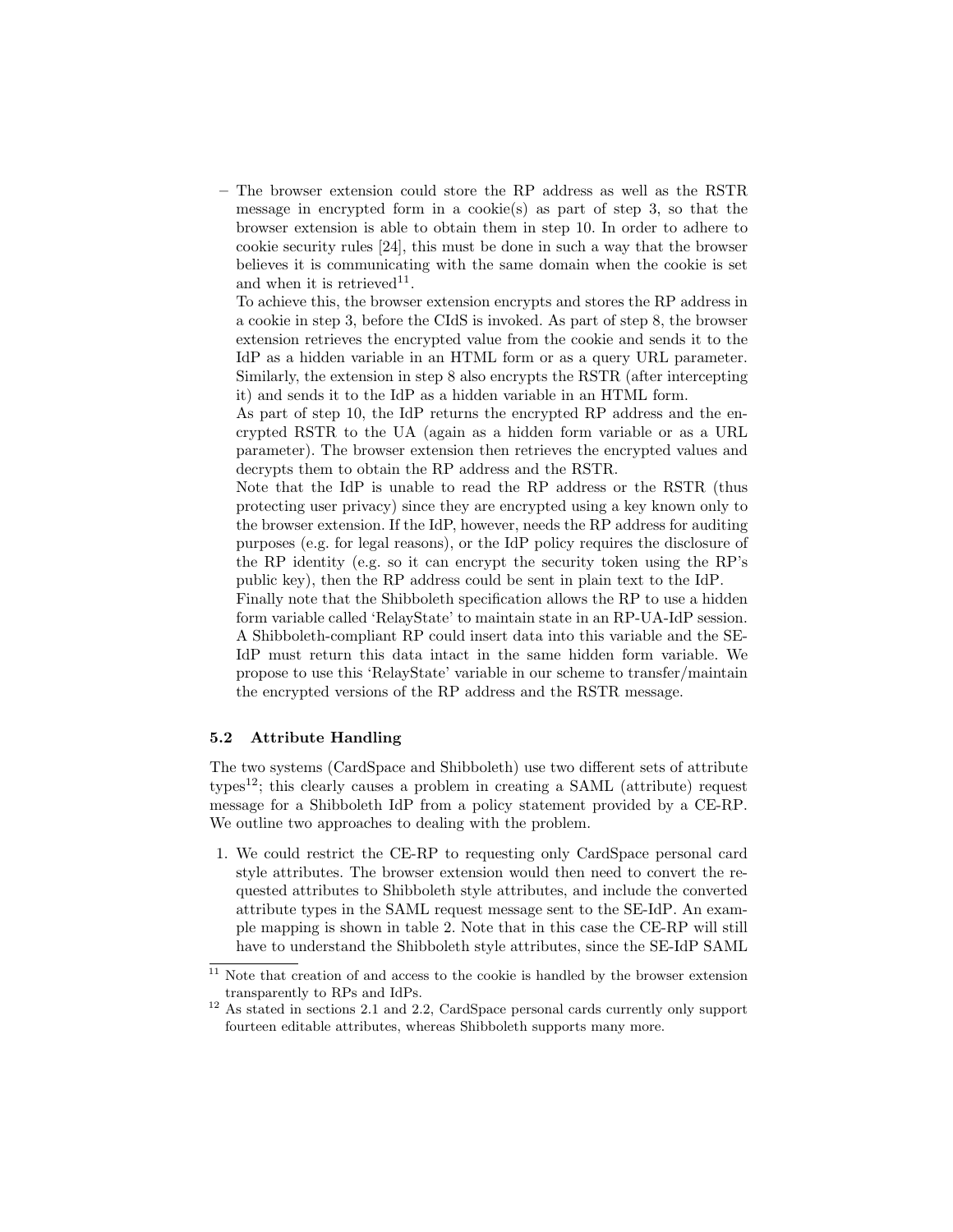– The browser extension could store the RP address as well as the RSTR message in encrypted form in a cookie(s) as part of step 3, so that the browser extension is able to obtain them in step 10. In order to adhere to cookie security rules [24], this must be done in such a way that the browser believes it is communicating with the same domain when the cookie is set and when it is retrieved<sup>11</sup>.

To achieve this, the browser extension encrypts and stores the RP address in a cookie in step 3, before the CIdS is invoked. As part of step 8, the browser extension retrieves the encrypted value from the cookie and sends it to the IdP as a hidden variable in an HTML form or as a query URL parameter. Similarly, the extension in step 8 also encrypts the RSTR (after intercepting it) and sends it to the IdP as a hidden variable in an HTML form.

As part of step 10, the IdP returns the encrypted RP address and the encrypted RSTR to the UA (again as a hidden form variable or as a URL parameter). The browser extension then retrieves the encrypted values and decrypts them to obtain the RP address and the RSTR.

Note that the IdP is unable to read the RP address or the RSTR (thus protecting user privacy) since they are encrypted using a key known only to the browser extension. If the IdP, however, needs the RP address for auditing purposes (e.g. for legal reasons), or the IdP policy requires the disclosure of the RP identity (e.g. so it can encrypt the security token using the RP's public key), then the RP address could be sent in plain text to the IdP.

Finally note that the Shibboleth specification allows the RP to use a hidden form variable called 'RelayState' to maintain state in an RP-UA-IdP session. A Shibboleth-compliant RP could insert data into this variable and the SE-IdP must return this data intact in the same hidden form variable. We propose to use this 'RelayState' variable in our scheme to transfer/maintain the encrypted versions of the RP address and the RSTR message.

#### 5.2 Attribute Handling

The two systems (CardSpace and Shibboleth) use two different sets of attribute types<sup>12</sup>; this clearly causes a problem in creating a SAML (attribute) request message for a Shibboleth IdP from a policy statement provided by a CE-RP. We outline two approaches to dealing with the problem.

1. We could restrict the CE-RP to requesting only CardSpace personal card style attributes. The browser extension would then need to convert the requested attributes to Shibboleth style attributes, and include the converted attribute types in the SAML request message sent to the SE-IdP. An example mapping is shown in table 2. Note that in this case the CE-RP will still have to understand the Shibboleth style attributes, since the SE-IdP SAML

 $\frac{11}{11}$  Note that creation of and access to the cookie is handled by the browser extension transparently to RPs and IdPs.

<sup>&</sup>lt;sup>12</sup> As stated in sections 2.1 and 2.2, CardSpace personal cards currently only support fourteen editable attributes, whereas Shibboleth supports many more.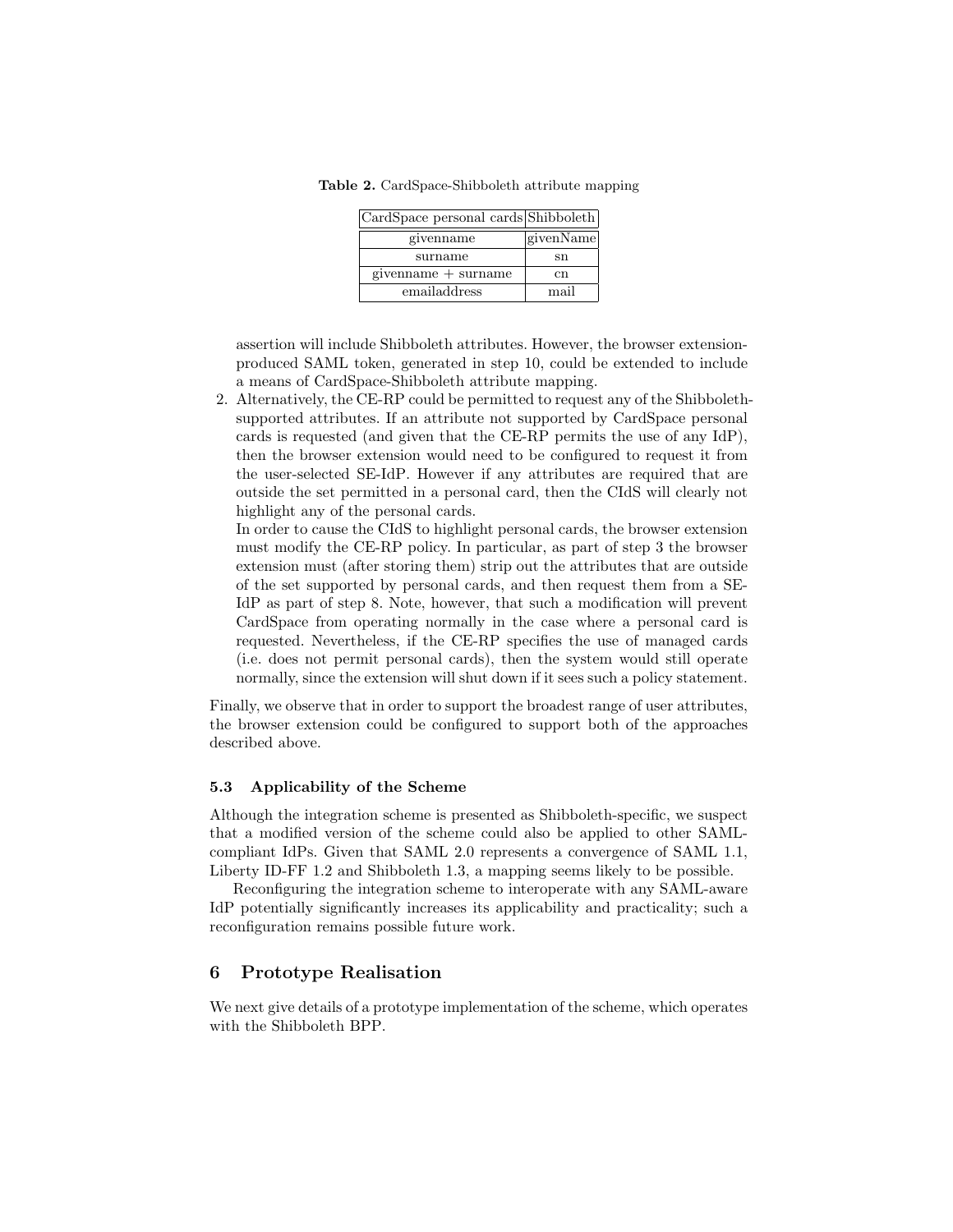Table 2. CardSpace-Shibboleth attribute mapping

| CardSpace personal cards Shibboleth |           |
|-------------------------------------|-----------|
| givenname                           | givenName |
| surname                             | sn        |
| given name $+$ surname              | cn.       |
| emailaddress                        | mail      |

assertion will include Shibboleth attributes. However, the browser extensionproduced SAML token, generated in step 10, could be extended to include a means of CardSpace-Shibboleth attribute mapping.

2. Alternatively, the CE-RP could be permitted to request any of the Shibbolethsupported attributes. If an attribute not supported by CardSpace personal cards is requested (and given that the CE-RP permits the use of any IdP), then the browser extension would need to be configured to request it from the user-selected SE-IdP. However if any attributes are required that are outside the set permitted in a personal card, then the CIdS will clearly not highlight any of the personal cards.

In order to cause the CIdS to highlight personal cards, the browser extension must modify the CE-RP policy. In particular, as part of step 3 the browser extension must (after storing them) strip out the attributes that are outside of the set supported by personal cards, and then request them from a SE-IdP as part of step 8. Note, however, that such a modification will prevent CardSpace from operating normally in the case where a personal card is requested. Nevertheless, if the CE-RP specifies the use of managed cards (i.e. does not permit personal cards), then the system would still operate normally, since the extension will shut down if it sees such a policy statement.

Finally, we observe that in order to support the broadest range of user attributes, the browser extension could be configured to support both of the approaches described above.

## 5.3 Applicability of the Scheme

Although the integration scheme is presented as Shibboleth-specific, we suspect that a modified version of the scheme could also be applied to other SAMLcompliant IdPs. Given that SAML 2.0 represents a convergence of SAML 1.1, Liberty ID-FF 1.2 and Shibboleth 1.3, a mapping seems likely to be possible.

Reconfiguring the integration scheme to interoperate with any SAML-aware IdP potentially significantly increases its applicability and practicality; such a reconfiguration remains possible future work.

# 6 Prototype Realisation

We next give details of a prototype implementation of the scheme, which operates with the Shibboleth BPP.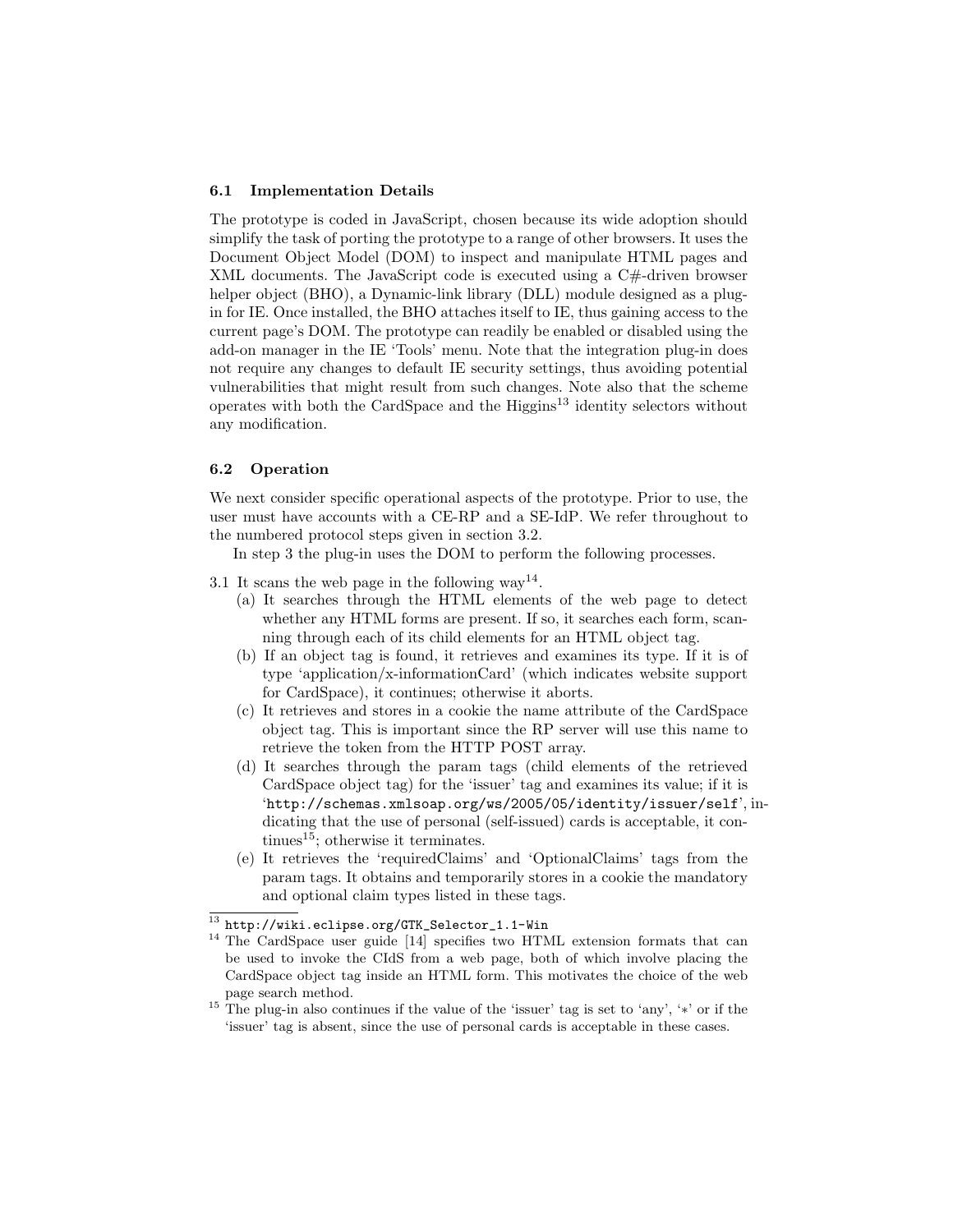#### 6.1 Implementation Details

The prototype is coded in JavaScript, chosen because its wide adoption should simplify the task of porting the prototype to a range of other browsers. It uses the Document Object Model (DOM) to inspect and manipulate HTML pages and XML documents. The JavaScript code is executed using a C#-driven browser helper object (BHO), a Dynamic-link library (DLL) module designed as a plugin for IE. Once installed, the BHO attaches itself to IE, thus gaining access to the current page's DOM. The prototype can readily be enabled or disabled using the add-on manager in the IE 'Tools' menu. Note that the integration plug-in does not require any changes to default IE security settings, thus avoiding potential vulnerabilities that might result from such changes. Note also that the scheme operates with both the CardSpace and the  $H$ iggins<sup>13</sup> identity selectors without any modification.

## 6.2 Operation

We next consider specific operational aspects of the prototype. Prior to use, the user must have accounts with a CE-RP and a SE-IdP. We refer throughout to the numbered protocol steps given in section 3.2.

In step 3 the plug-in uses the DOM to perform the following processes.

- 3.1 It scans the web page in the following way<sup>14</sup>.
	- (a) It searches through the HTML elements of the web page to detect whether any HTML forms are present. If so, it searches each form, scanning through each of its child elements for an HTML object tag.
	- (b) If an object tag is found, it retrieves and examines its type. If it is of type 'application/x-informationCard' (which indicates website support for CardSpace), it continues; otherwise it aborts.
	- (c) It retrieves and stores in a cookie the name attribute of the CardSpace object tag. This is important since the RP server will use this name to retrieve the token from the HTTP POST array.
	- (d) It searches through the param tags (child elements of the retrieved CardSpace object tag) for the 'issuer' tag and examines its value; if it is 'http://schemas.xmlsoap.org/ws/2005/05/identity/issuer/self', indicating that the use of personal (self-issued) cards is acceptable, it continues<sup>15</sup>; otherwise it terminates.
	- (e) It retrieves the 'requiredClaims' and 'OptionalClaims' tags from the param tags. It obtains and temporarily stores in a cookie the mandatory and optional claim types listed in these tags.

 $^{13}$  http://wiki.eclipse.org/GTK\_Selector\_1.1-Win

<sup>&</sup>lt;sup>14</sup> The CardSpace user guide [14] specifies two HTML extension formats that can be used to invoke the CIdS from a web page, both of which involve placing the CardSpace object tag inside an HTML form. This motivates the choice of the web page search method.

<sup>&</sup>lt;sup>15</sup> The plug-in also continues if the value of the 'issuer' tag is set to 'any', '\*' or if the 'issuer' tag is absent, since the use of personal cards is acceptable in these cases.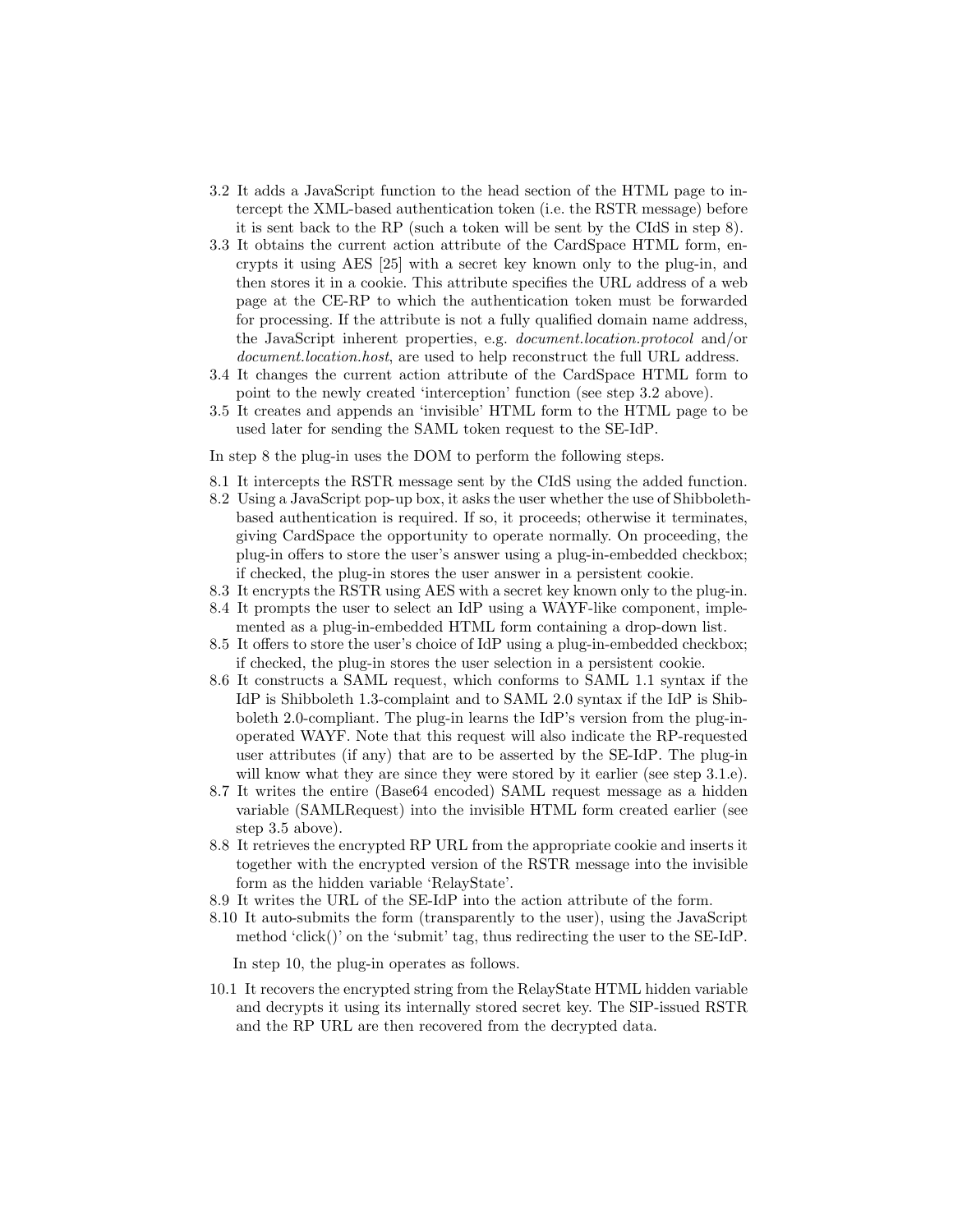- 3.2 It adds a JavaScript function to the head section of the HTML page to intercept the XML-based authentication token (i.e. the RSTR message) before it is sent back to the RP (such a token will be sent by the CIdS in step 8).
- 3.3 It obtains the current action attribute of the CardSpace HTML form, encrypts it using AES [25] with a secret key known only to the plug-in, and then stores it in a cookie. This attribute specifies the URL address of a web page at the CE-RP to which the authentication token must be forwarded for processing. If the attribute is not a fully qualified domain name address, the JavaScript inherent properties, e.g. document.location.protocol and/or document.location.host, are used to help reconstruct the full URL address.
- 3.4 It changes the current action attribute of the CardSpace HTML form to point to the newly created 'interception' function (see step 3.2 above).
- 3.5 It creates and appends an 'invisible' HTML form to the HTML page to be used later for sending the SAML token request to the SE-IdP.

In step 8 the plug-in uses the DOM to perform the following steps.

- 8.1 It intercepts the RSTR message sent by the CIdS using the added function.
- 8.2 Using a JavaScript pop-up box, it asks the user whether the use of Shibbolethbased authentication is required. If so, it proceeds; otherwise it terminates, giving CardSpace the opportunity to operate normally. On proceeding, the plug-in offers to store the user's answer using a plug-in-embedded checkbox; if checked, the plug-in stores the user answer in a persistent cookie.
- 8.3 It encrypts the RSTR using AES with a secret key known only to the plug-in.
- 8.4 It prompts the user to select an IdP using a WAYF-like component, implemented as a plug-in-embedded HTML form containing a drop-down list.
- 8.5 It offers to store the user's choice of IdP using a plug-in-embedded checkbox; if checked, the plug-in stores the user selection in a persistent cookie.
- 8.6 It constructs a SAML request, which conforms to SAML 1.1 syntax if the IdP is Shibboleth 1.3-complaint and to SAML 2.0 syntax if the IdP is Shibboleth 2.0-compliant. The plug-in learns the IdP's version from the plug-inoperated WAYF. Note that this request will also indicate the RP-requested user attributes (if any) that are to be asserted by the SE-IdP. The plug-in will know what they are since they were stored by it earlier (see step 3.1.e).
- 8.7 It writes the entire (Base64 encoded) SAML request message as a hidden variable (SAMLRequest) into the invisible HTML form created earlier (see step 3.5 above).
- 8.8 It retrieves the encrypted RP URL from the appropriate cookie and inserts it together with the encrypted version of the RSTR message into the invisible form as the hidden variable 'RelayState'.
- 8.9 It writes the URL of the SE-IdP into the action attribute of the form.
- 8.10 It auto-submits the form (transparently to the user), using the JavaScript method 'click()' on the 'submit' tag, thus redirecting the user to the SE-IdP.

In step 10, the plug-in operates as follows.

10.1 It recovers the encrypted string from the RelayState HTML hidden variable and decrypts it using its internally stored secret key. The SIP-issued RSTR and the RP URL are then recovered from the decrypted data.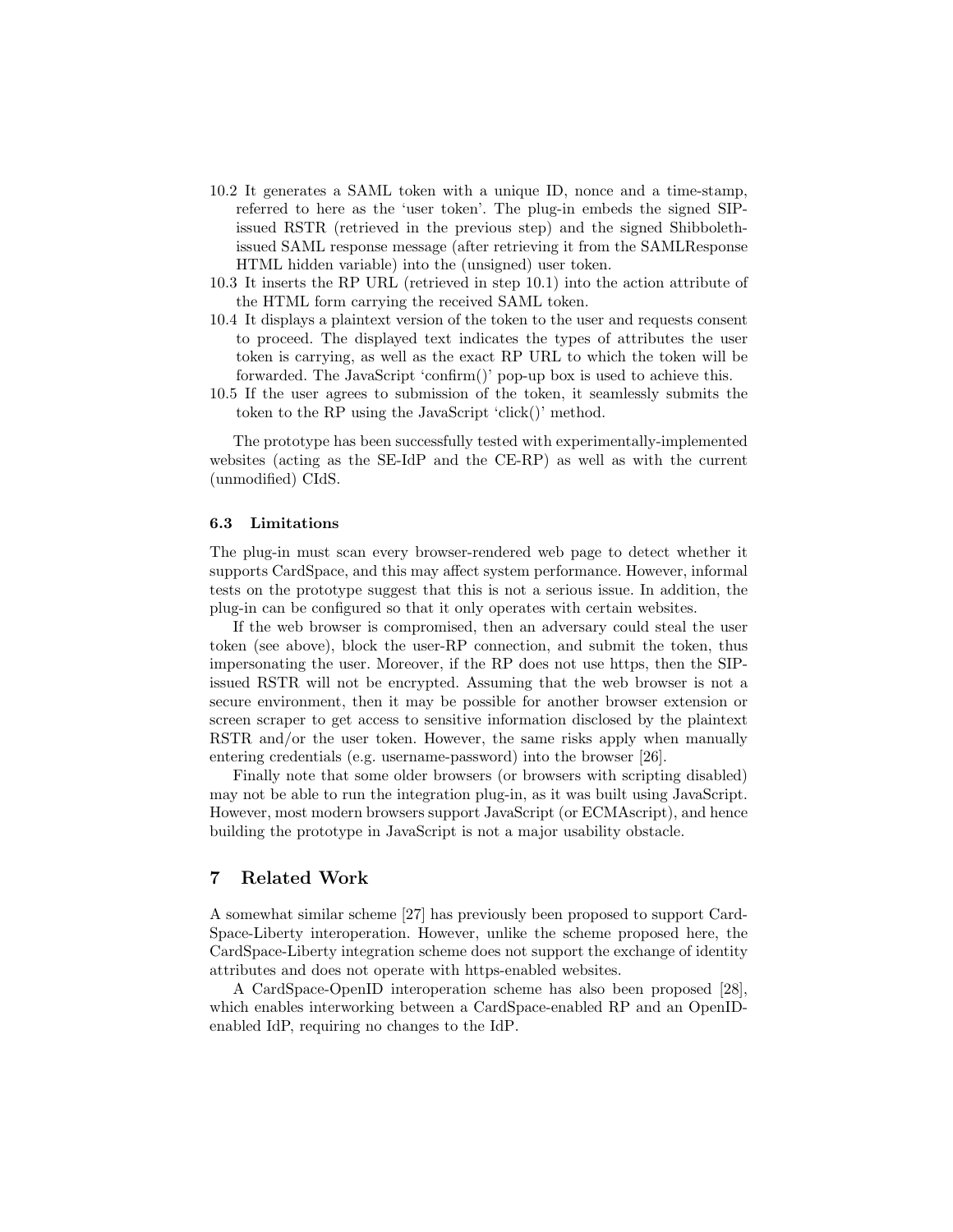- 10.2 It generates a SAML token with a unique ID, nonce and a time-stamp, referred to here as the 'user token'. The plug-in embeds the signed SIPissued RSTR (retrieved in the previous step) and the signed Shibbolethissued SAML response message (after retrieving it from the SAMLResponse HTML hidden variable) into the (unsigned) user token.
- 10.3 It inserts the RP URL (retrieved in step 10.1) into the action attribute of the HTML form carrying the received SAML token.
- 10.4 It displays a plaintext version of the token to the user and requests consent to proceed. The displayed text indicates the types of attributes the user token is carrying, as well as the exact RP URL to which the token will be forwarded. The JavaScript 'confirm()' pop-up box is used to achieve this.
- 10.5 If the user agrees to submission of the token, it seamlessly submits the token to the RP using the JavaScript 'click()' method.

The prototype has been successfully tested with experimentally-implemented websites (acting as the SE-IdP and the CE-RP) as well as with the current (unmodified) CIdS.

#### 6.3 Limitations

The plug-in must scan every browser-rendered web page to detect whether it supports CardSpace, and this may affect system performance. However, informal tests on the prototype suggest that this is not a serious issue. In addition, the plug-in can be configured so that it only operates with certain websites.

If the web browser is compromised, then an adversary could steal the user token (see above), block the user-RP connection, and submit the token, thus impersonating the user. Moreover, if the RP does not use https, then the SIPissued RSTR will not be encrypted. Assuming that the web browser is not a secure environment, then it may be possible for another browser extension or screen scraper to get access to sensitive information disclosed by the plaintext RSTR and/or the user token. However, the same risks apply when manually entering credentials (e.g. username-password) into the browser [26].

Finally note that some older browsers (or browsers with scripting disabled) may not be able to run the integration plug-in, as it was built using JavaScript. However, most modern browsers support JavaScript (or ECMAscript), and hence building the prototype in JavaScript is not a major usability obstacle.

## 7 Related Work

A somewhat similar scheme [27] has previously been proposed to support Card-Space-Liberty interoperation. However, unlike the scheme proposed here, the CardSpace-Liberty integration scheme does not support the exchange of identity attributes and does not operate with https-enabled websites.

A CardSpace-OpenID interoperation scheme has also been proposed [28], which enables interworking between a CardSpace-enabled RP and an OpenIDenabled IdP, requiring no changes to the IdP.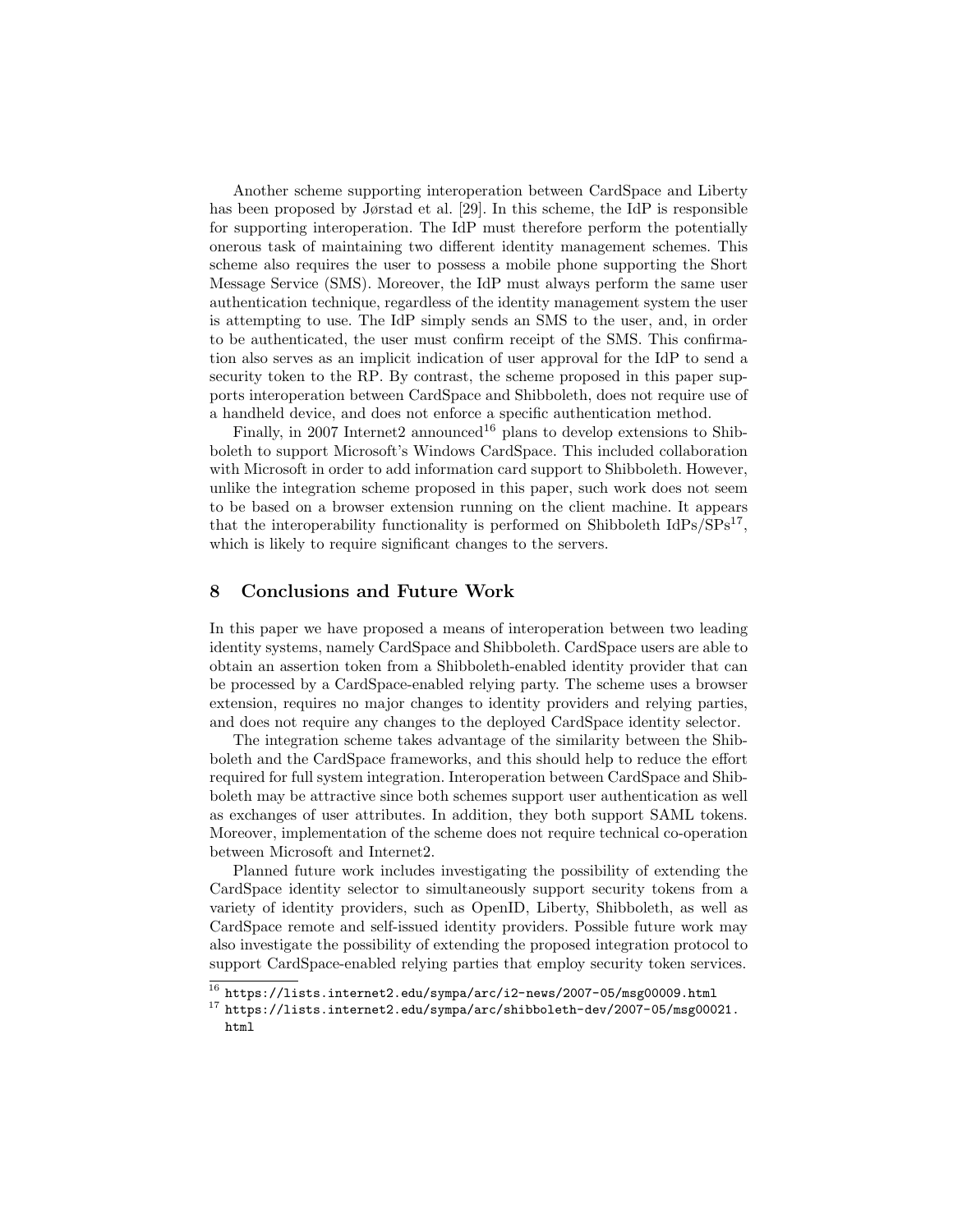Another scheme supporting interoperation between CardSpace and Liberty has been proposed by Jørstad et al. [29]. In this scheme, the IdP is responsible for supporting interoperation. The IdP must therefore perform the potentially onerous task of maintaining two different identity management schemes. This scheme also requires the user to possess a mobile phone supporting the Short Message Service (SMS). Moreover, the IdP must always perform the same user authentication technique, regardless of the identity management system the user is attempting to use. The IdP simply sends an SMS to the user, and, in order to be authenticated, the user must confirm receipt of the SMS. This confirmation also serves as an implicit indication of user approval for the IdP to send a security token to the RP. By contrast, the scheme proposed in this paper supports interoperation between CardSpace and Shibboleth, does not require use of a handheld device, and does not enforce a specific authentication method.

Finally, in 2007 Internet2 announced<sup>16</sup> plans to develop extensions to Shibboleth to support Microsoft's Windows CardSpace. This included collaboration with Microsoft in order to add information card support to Shibboleth. However, unlike the integration scheme proposed in this paper, such work does not seem to be based on a browser extension running on the client machine. It appears that the interoperability functionality is performed on Shibboleth IdPs/SPs<sup>17</sup>, which is likely to require significant changes to the servers.

## 8 Conclusions and Future Work

In this paper we have proposed a means of interoperation between two leading identity systems, namely CardSpace and Shibboleth. CardSpace users are able to obtain an assertion token from a Shibboleth-enabled identity provider that can be processed by a CardSpace-enabled relying party. The scheme uses a browser extension, requires no major changes to identity providers and relying parties, and does not require any changes to the deployed CardSpace identity selector.

The integration scheme takes advantage of the similarity between the Shibboleth and the CardSpace frameworks, and this should help to reduce the effort required for full system integration. Interoperation between CardSpace and Shibboleth may be attractive since both schemes support user authentication as well as exchanges of user attributes. In addition, they both support SAML tokens. Moreover, implementation of the scheme does not require technical co-operation between Microsoft and Internet2.

Planned future work includes investigating the possibility of extending the CardSpace identity selector to simultaneously support security tokens from a variety of identity providers, such as OpenID, Liberty, Shibboleth, as well as CardSpace remote and self-issued identity providers. Possible future work may also investigate the possibility of extending the proposed integration protocol to support CardSpace-enabled relying parties that employ security token services.

 $^{16}$  https://lists.internet2.edu/sympa/arc/i2-news/2007-05/msg00009.html

<sup>17</sup> https://lists.internet2.edu/sympa/arc/shibboleth-dev/2007-05/msg00021. html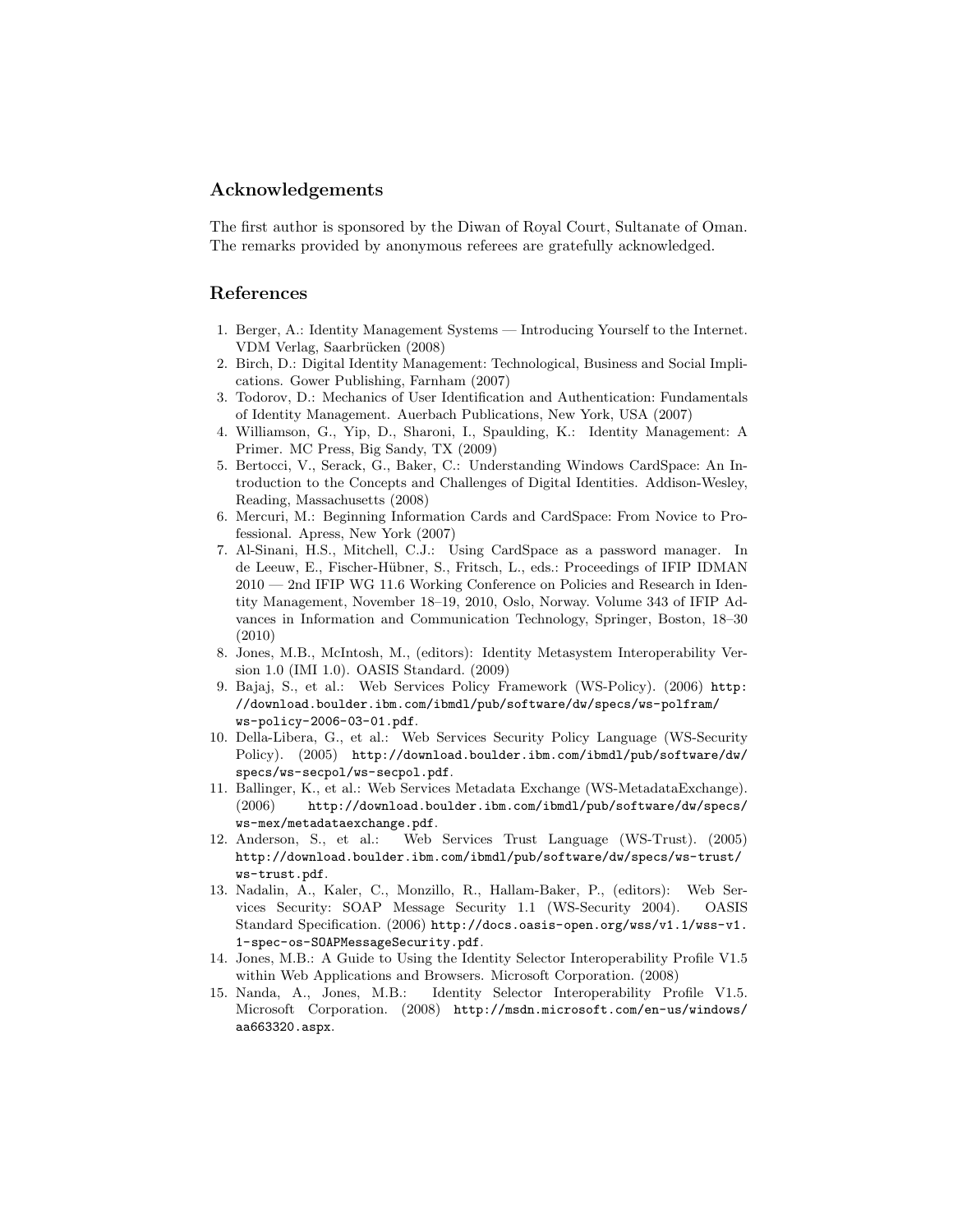# Acknowledgements

The first author is sponsored by the Diwan of Royal Court, Sultanate of Oman. The remarks provided by anonymous referees are gratefully acknowledged.

# References

- 1. Berger, A.: Identity Management Systems Introducing Yourself to the Internet. VDM Verlag, Saarbrücken (2008)
- 2. Birch, D.: Digital Identity Management: Technological, Business and Social Implications. Gower Publishing, Farnham (2007)
- 3. Todorov, D.: Mechanics of User Identification and Authentication: Fundamentals of Identity Management. Auerbach Publications, New York, USA (2007)
- 4. Williamson, G., Yip, D., Sharoni, I., Spaulding, K.: Identity Management: A Primer. MC Press, Big Sandy, TX (2009)
- 5. Bertocci, V., Serack, G., Baker, C.: Understanding Windows CardSpace: An Introduction to the Concepts and Challenges of Digital Identities. Addison-Wesley, Reading, Massachusetts (2008)
- 6. Mercuri, M.: Beginning Information Cards and CardSpace: From Novice to Professional. Apress, New York (2007)
- 7. Al-Sinani, H.S., Mitchell, C.J.: Using CardSpace as a password manager. In de Leeuw, E., Fischer-Hübner, S., Fritsch, L., eds.: Proceedings of IFIP IDMAN 2010 — 2nd IFIP WG 11.6 Working Conference on Policies and Research in Identity Management, November 18–19, 2010, Oslo, Norway. Volume 343 of IFIP Advances in Information and Communication Technology, Springer, Boston, 18–30 (2010)
- 8. Jones, M.B., McIntosh, M., (editors): Identity Metasystem Interoperability Version 1.0 (IMI 1.0). OASIS Standard. (2009)
- 9. Bajaj, S., et al.: Web Services Policy Framework (WS-Policy). (2006) http: //download.boulder.ibm.com/ibmdl/pub/software/dw/specs/ws-polfram/ ws-policy-2006-03-01.pdf.
- 10. Della-Libera, G., et al.: Web Services Security Policy Language (WS-Security Policy). (2005) http://download.boulder.ibm.com/ibmdl/pub/software/dw/ specs/ws-secpol/ws-secpol.pdf.
- 11. Ballinger, K., et al.: Web Services Metadata Exchange (WS-MetadataExchange). (2006) http://download.boulder.ibm.com/ibmdl/pub/software/dw/specs/ ws-mex/metadataexchange.pdf.
- 12. Anderson, S., et al.: Web Services Trust Language (WS-Trust). (2005) http://download.boulder.ibm.com/ibmdl/pub/software/dw/specs/ws-trust/ ws-trust.pdf.
- 13. Nadalin, A., Kaler, C., Monzillo, R., Hallam-Baker, P., (editors): Web Services Security: SOAP Message Security 1.1 (WS-Security 2004). OASIS Standard Specification. (2006) http://docs.oasis-open.org/wss/v1.1/wss-v1. 1-spec-os-SOAPMessageSecurity.pdf.
- 14. Jones, M.B.: A Guide to Using the Identity Selector Interoperability Profile V1.5 within Web Applications and Browsers. Microsoft Corporation. (2008)
- 15. Nanda, A., Jones, M.B.: Identity Selector Interoperability Profile V1.5. Microsoft Corporation. (2008) http://msdn.microsoft.com/en-us/windows/ aa663320.aspx.